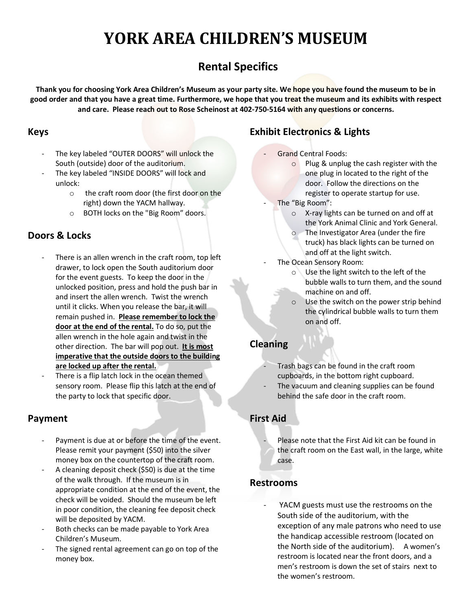## **YORK AREA CHILDREN'S MUSEUM**

## **Rental Specifics**

**Thank you for choosing York Area Children's Museum as your party site. We hope you have found the museum to be in good order and that you have a great time. Furthermore, we hope that you treat the museum and its exhibits with respect and care. Please reach out to Rose Scheinost at 402-750-5164 with any questions or concerns.**

#### **Keys**

- The key labeled "OUTER DOORS" will unlock the South (outside) door of the auditorium.
- The key labeled "INSIDE DOORS" will lock and unlock:
	- o the craft room door (the first door on the right) down the YACM hallway.
	- o BOTH locks on the "Big Room" doors.

#### **Doors & Locks**

- There is an allen wrench in the craft room, top left drawer, to lock open the South auditorium door for the event guests. To keep the door in the unlocked position, press and hold the push bar in and insert the allen wrench. Twist the wrench until it clicks. When you release the bar, it will remain pushed in. **Please remember to lock the door at the end of the rental.** To do so, put the allen wrench in the hole again and twist in the other direction. The bar will pop out. **It is most imperative that the outside doors to the building are locked up after the rental.**
- There is a flip latch lock in the ocean themed sensory room. Please flip this latch at the end of the party to lock that specific door.

#### **Payment**

- Payment is due at or before the time of the event. Please remit your payment (\$50) into the silver money box on the countertop of the craft room.
- A cleaning deposit check (\$50) is due at the time of the walk through. If the museum is in appropriate condition at the end of the event, the check will be voided. Should the museum be left in poor condition, the cleaning fee deposit check will be deposited by YACM.
- Both checks can be made payable to York Area Children's Museum.
- The signed rental agreement can go on top of the money box.

## **Exhibit Electronics & Lights**

- Grand Central Foods:
	- o Plug & unplug the cash register with the one plug in located to the right of the door. Follow the directions on the register to operate startup for use.
- The "Big Room":
	- o X-ray lights can be turned on and off at the York Animal Clinic and York General.
	- o The Investigator Area (under the fire truck) has black lights can be turned on and off at the light switch.
- The Ocean Sensory Room:
	- o Use the light switch to the left of the bubble walls to turn them, and the sound machine on and off.
	- o Use the switch on the power strip behind the cylindrical bubble walls to turn them on and off.

#### **Cleaning**

- Trash bags can be found in the craft room cupboards, in the bottom right cupboard.
- The vacuum and cleaning supplies can be found behind the safe door in the craft room.

#### **First Aid**

Please note that the First Aid kit can be found in the craft room on the East wall, in the large, white case.

#### **Restrooms**

YACM guests must use the restrooms on the South side of the auditorium, with the exception of any male patrons who need to use the handicap accessible restroom (located on the North side of the auditorium). A women's restroom is located near the front doors, and a men's restroom is down the set of stairs next to the women's restroom.